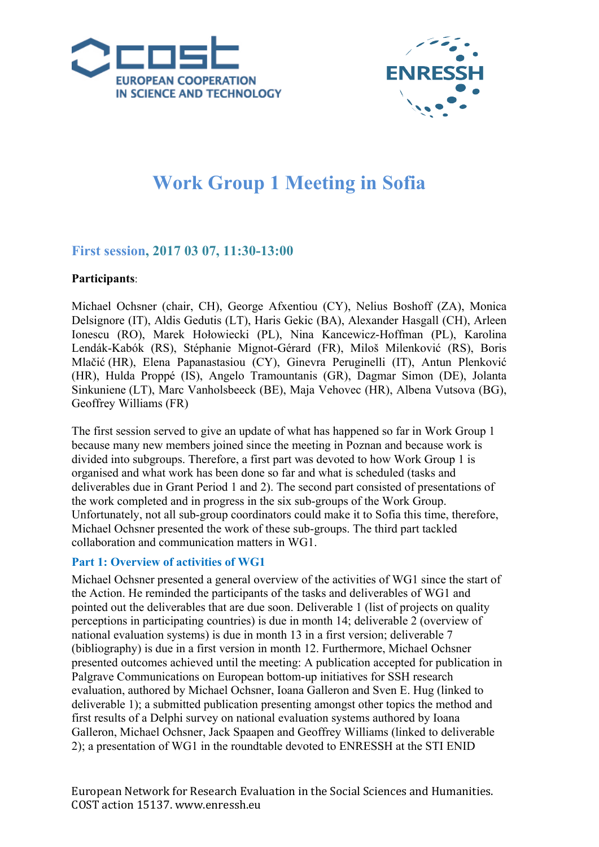



# **Work Group 1 Meeting in Sofia**

## **First session, 2017 03 07, 11:30-13:00**

## **Participants**:

Michael Ochsner (chair, CH), George Afxentiou (CY), Nelius Boshoff (ZA), Monica Delsignore (IT), Aldis Gedutis (LT), Haris Gekic (BA), Alexander Hasgall (CH), Arleen Ionescu (RO), Marek Hołowiecki (PL), Nina Kancewicz-Hoffman (PL), Karolina Lendák-Kabók (RS), Stéphanie Mignot-Gérard (FR), Miloš Milenković (RS), Boris Mlačić (HR), Elena Papanastasiou (CY), Ginevra Peruginelli (IT), Antun Plenković (HR), Hulda Proppé (IS), Angelo Tramountanis (GR), Dagmar Simon (DE), Jolanta Sinkuniene (LT), Marc Vanholsbeeck (BE), Maja Vehovec (HR), Albena Vutsova (BG), Geoffrey Williams (FR)

The first session served to give an update of what has happened so far in Work Group 1 because many new members joined since the meeting in Poznan and because work is divided into subgroups. Therefore, a first part was devoted to how Work Group 1 is organised and what work has been done so far and what is scheduled (tasks and deliverables due in Grant Period 1 and 2). The second part consisted of presentations of the work completed and in progress in the six sub-groups of the Work Group. Unfortunately, not all sub-group coordinators could make it to Sofia this time, therefore, Michael Ochsner presented the work of these sub-groups. The third part tackled collaboration and communication matters in WG1.

## **Part 1: Overview of activities of WG1**

Michael Ochsner presented a general overview of the activities of WG1 since the start of the Action. He reminded the participants of the tasks and deliverables of WG1 and pointed out the deliverables that are due soon. Deliverable 1 (list of projects on quality perceptions in participating countries) is due in month 14; deliverable 2 (overview of national evaluation systems) is due in month 13 in a first version; deliverable 7 (bibliography) is due in a first version in month 12. Furthermore, Michael Ochsner presented outcomes achieved until the meeting: A publication accepted for publication in Palgrave Communications on European bottom-up initiatives for SSH research evaluation, authored by Michael Ochsner, Ioana Galleron and Sven E. Hug (linked to deliverable 1); a submitted publication presenting amongst other topics the method and first results of a Delphi survey on national evaluation systems authored by Ioana Galleron, Michael Ochsner, Jack Spaapen and Geoffrey Williams (linked to deliverable 2); a presentation of WG1 in the roundtable devoted to ENRESSH at the STI ENID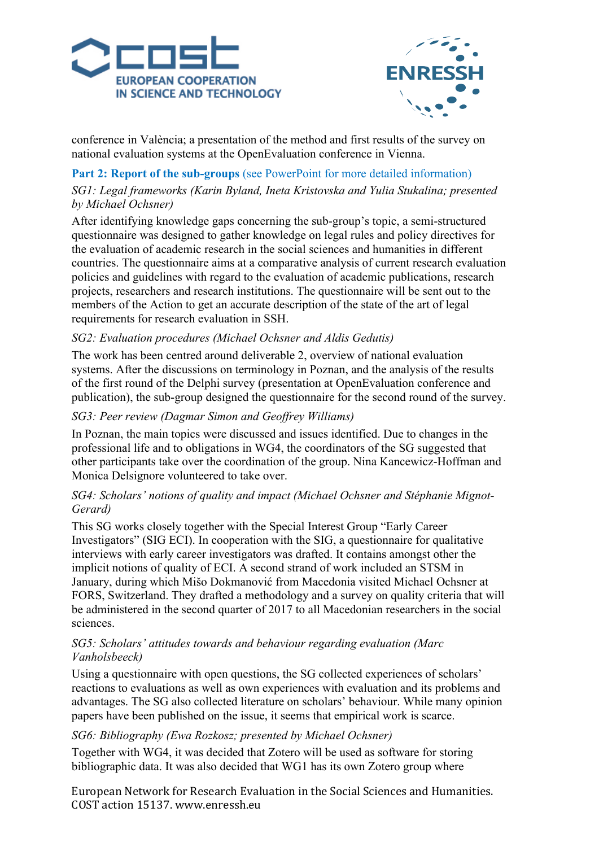



conference in València; a presentation of the method and first results of the survey on national evaluation systems at the OpenEvaluation conference in Vienna.

## **Part 2: Report of the sub-groups** (see PowerPoint for more detailed information)

## *SG1: Legal frameworks (Karin Byland, Ineta Kristovska and Yulia Stukalina; presented by Michael Ochsner)*

After identifying knowledge gaps concerning the sub-group's topic, a semi-structured questionnaire was designed to gather knowledge on legal rules and policy directives for the evaluation of academic research in the social sciences and humanities in different countries. The questionnaire aims at a comparative analysis of current research evaluation policies and guidelines with regard to the evaluation of academic publications, research projects, researchers and research institutions. The questionnaire will be sent out to the members of the Action to get an accurate description of the state of the art of legal requirements for research evaluation in SSH.

## *SG2: Evaluation procedures (Michael Ochsner and Aldis Gedutis)*

The work has been centred around deliverable 2, overview of national evaluation systems. After the discussions on terminology in Poznan, and the analysis of the results of the first round of the Delphi survey (presentation at OpenEvaluation conference and publication), the sub-group designed the questionnaire for the second round of the survey.

## *SG3: Peer review (Dagmar Simon and Geoffrey Williams)*

In Poznan, the main topics were discussed and issues identified. Due to changes in the professional life and to obligations in WG4, the coordinators of the SG suggested that other participants take over the coordination of the group. Nina Kancewicz-Hoffman and Monica Delsignore volunteered to take over.

## *SG4: Scholars' notions of quality and impact (Michael Ochsner and Stéphanie Mignot-Gerard)*

This SG works closely together with the Special Interest Group "Early Career Investigators" (SIG ECI). In cooperation with the SIG, a questionnaire for qualitative interviews with early career investigators was drafted. It contains amongst other the implicit notions of quality of ECI. A second strand of work included an STSM in January, during which Mišo Dokmanović from Macedonia visited Michael Ochsner at FORS, Switzerland. They drafted a methodology and a survey on quality criteria that will be administered in the second quarter of 2017 to all Macedonian researchers in the social sciences.

## *SG5: Scholars' attitudes towards and behaviour regarding evaluation (Marc Vanholsbeeck)*

Using a questionnaire with open questions, the SG collected experiences of scholars' reactions to evaluations as well as own experiences with evaluation and its problems and advantages. The SG also collected literature on scholars' behaviour. While many opinion papers have been published on the issue, it seems that empirical work is scarce.

## *SG6: Bibliography (Ewa Rozkosz; presented by Michael Ochsner)*

Together with WG4, it was decided that Zotero will be used as software for storing bibliographic data. It was also decided that WG1 has its own Zotero group where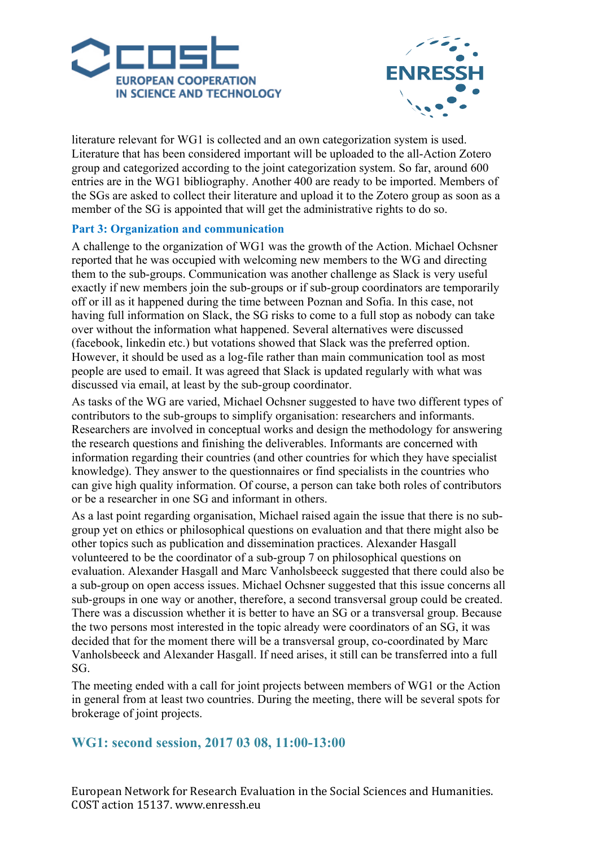



literature relevant for WG1 is collected and an own categorization system is used. Literature that has been considered important will be uploaded to the all-Action Zotero group and categorized according to the joint categorization system. So far, around 600 entries are in the WG1 bibliography. Another 400 are ready to be imported. Members of the SGs are asked to collect their literature and upload it to the Zotero group as soon as a member of the SG is appointed that will get the administrative rights to do so.

## **Part 3: Organization and communication**

A challenge to the organization of WG1 was the growth of the Action. Michael Ochsner reported that he was occupied with welcoming new members to the WG and directing them to the sub-groups. Communication was another challenge as Slack is very useful exactly if new members join the sub-groups or if sub-group coordinators are temporarily off or ill as it happened during the time between Poznan and Sofia. In this case, not having full information on Slack, the SG risks to come to a full stop as nobody can take over without the information what happened. Several alternatives were discussed (facebook, linkedin etc.) but votations showed that Slack was the preferred option. However, it should be used as a log-file rather than main communication tool as most people are used to email. It was agreed that Slack is updated regularly with what was discussed via email, at least by the sub-group coordinator.

As tasks of the WG are varied, Michael Ochsner suggested to have two different types of contributors to the sub-groups to simplify organisation: researchers and informants. Researchers are involved in conceptual works and design the methodology for answering the research questions and finishing the deliverables. Informants are concerned with information regarding their countries (and other countries for which they have specialist knowledge). They answer to the questionnaires or find specialists in the countries who can give high quality information. Of course, a person can take both roles of contributors or be a researcher in one SG and informant in others.

As a last point regarding organisation, Michael raised again the issue that there is no subgroup yet on ethics or philosophical questions on evaluation and that there might also be other topics such as publication and dissemination practices. Alexander Hasgall volunteered to be the coordinator of a sub-group 7 on philosophical questions on evaluation. Alexander Hasgall and Marc Vanholsbeeck suggested that there could also be a sub-group on open access issues. Michael Ochsner suggested that this issue concerns all sub-groups in one way or another, therefore, a second transversal group could be created. There was a discussion whether it is better to have an SG or a transversal group. Because the two persons most interested in the topic already were coordinators of an SG, it was decided that for the moment there will be a transversal group, co-coordinated by Marc Vanholsbeeck and Alexander Hasgall. If need arises, it still can be transferred into a full SG.

The meeting ended with a call for joint projects between members of WG1 or the Action in general from at least two countries. During the meeting, there will be several spots for brokerage of joint projects.

## **WG1: second session, 2017 03 08, 11:00-13:00**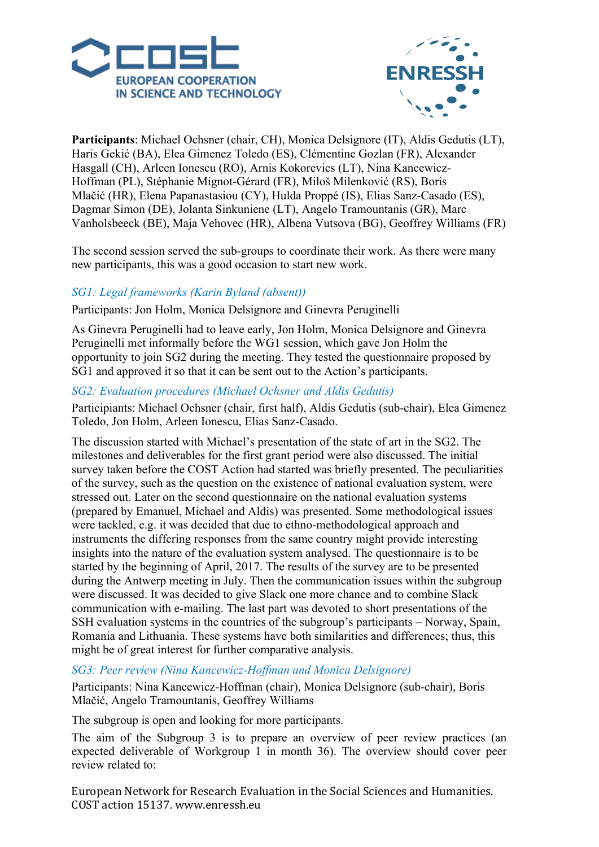



**Participants**: Michael Ochsner (chair, CH), Monica Delsignore (IT), Aldis Gedutis (LT), Haris Gekić (BA), Elea Gimenez Toledo (ES), Clémentine Gozlan (FR), Alexander Hasgall (CH), Arleen Ionescu (RO), Arnis Kokorevics (LT), Nina Kancewicz-Hoffman (PL), Stéphanie Mignot-Gérard (FR), Miloš Milenković (RS), Boris Mlačić (HR), Elena Papanastasiou (CY), Hulda Proppé (IS), Elias Sanz-Casado (ES), Dagmar Simon (DE), Jolanta Sinkuniene (LT), Angelo Tramountanis (GR), Marc Vanholsbeeck (BE), Maja Vehovec (HR), Albena Vutsova (BG), Geoffrey Williams (FR)

The second session served the sub-groups to coordinate their work. As there were many new participants, this was a good occasion to start new work.

## *SG1: Legal frameworks (Karin Byland (absent))*

Participants: Jon Holm, Monica Delsignore and Ginevra Peruginelli

As Ginevra Peruginelli had to leave early, Jon Holm, Monica Delsignore and Ginevra Peruginelli met informally before the WG1 session, which gave Jon Holm the opportunity to join SG2 during the meeting. They tested the questionnaire proposed by SG1 and approved it so that it can be sent out to the Action's participants.

## *SG2: Evaluation procedures (Michael Ochsner and Aldis Gedutis)*

Participiants: Michael Ochsner (chair, first half), Aldis Gedutis (sub-chair), Elea Gimenez Toledo, Jon Holm, Arleen Ionescu, Elias Sanz-Casado.

The discussion started with Michael's presentation of the state of art in the SG2. The milestones and deliverables for the first grant period were also discussed. The initial survey taken before the COST Action had started was briefly presented. The peculiarities of the survey, such as the question on the existence of national evaluation system, were stressed out. Later on the second questionnaire on the national evaluation systems (prepared by Emanuel, Michael and Aldis) was presented. Some methodological issues were tackled, e.g. it was decided that due to ethno-methodological approach and instruments the differing responses from the same country might provide interesting insights into the nature of the evaluation system analysed. The questionnaire is to be started by the beginning of April, 2017. The results of the survey are to be presented during the Antwerp meeting in July. Then the communication issues within the subgroup were discussed. It was decided to give Slack one more chance and to combine Slack communication with e-mailing. The last part was devoted to short presentations of the SSH evaluation systems in the countries of the subgroup's participants – Norway, Spain, Romania and Lithuania. These systems have both similarities and differences; thus, this might be of great interest for further comparative analysis.

#### *SG3: Peer review (Nina Kancewicz-Hoffman and Monica Delsignore)*

Participants: Nina Kancewicz-Hoffman (chair), Monica Delsignore (sub-chair), Boris Mlačić, Angelo Tramountanis, Geoffrey Williams

The subgroup is open and looking for more participants.

The aim of the Subgroup 3 is to prepare an overview of peer review practices (an expected deliverable of Workgroup 1 in month 36). The overview should cover peer review related to: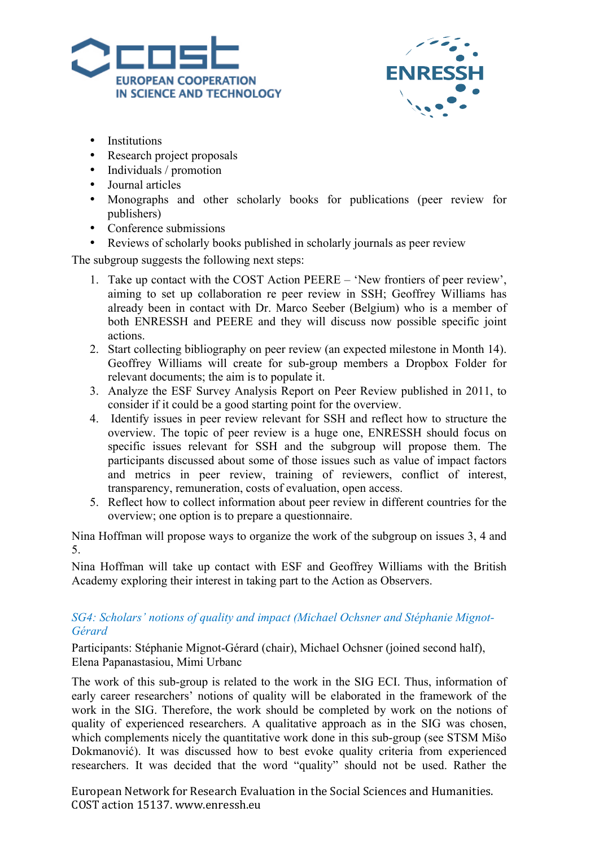



- Institutions
- Research project proposals
- Individuals / promotion
- Journal articles
- Monographs and other scholarly books for publications (peer review for publishers)
- Conference submissions
- Reviews of scholarly books published in scholarly journals as peer review

The subgroup suggests the following next steps:

- 1. Take up contact with the COST Action PEERE 'New frontiers of peer review', aiming to set up collaboration re peer review in SSH; Geoffrey Williams has already been in contact with Dr. Marco Seeber (Belgium) who is a member of both ENRESSH and PEERE and they will discuss now possible specific joint actions.
- 2. Start collecting bibliography on peer review (an expected milestone in Month 14). Geoffrey Williams will create for sub-group members a Dropbox Folder for relevant documents; the aim is to populate it.
- 3. Analyze the ESF Survey Analysis Report on Peer Review published in 2011, to consider if it could be a good starting point for the overview.
- 4. Identify issues in peer review relevant for SSH and reflect how to structure the overview. The topic of peer review is a huge one, ENRESSH should focus on specific issues relevant for SSH and the subgroup will propose them. The participants discussed about some of those issues such as value of impact factors and metrics in peer review, training of reviewers, conflict of interest, transparency, remuneration, costs of evaluation, open access.
- 5. Reflect how to collect information about peer review in different countries for the overview; one option is to prepare a questionnaire.

Nina Hoffman will propose ways to organize the work of the subgroup on issues 3, 4 and 5.

Nina Hoffman will take up contact with ESF and Geoffrey Williams with the British Academy exploring their interest in taking part to the Action as Observers.

## *SG4: Scholars' notions of quality and impact (Michael Ochsner and Stéphanie Mignot-Gérard*

Participants: Stéphanie Mignot-Gérard (chair), Michael Ochsner (joined second half), Elena Papanastasiou, Mimi Urbanc

The work of this sub-group is related to the work in the SIG ECI. Thus, information of early career researchers' notions of quality will be elaborated in the framework of the work in the SIG. Therefore, the work should be completed by work on the notions of quality of experienced researchers. A qualitative approach as in the SIG was chosen, which complements nicely the quantitative work done in this sub-group (see STSM Mišo Dokmanović). It was discussed how to best evoke quality criteria from experienced researchers. It was decided that the word "quality" should not be used. Rather the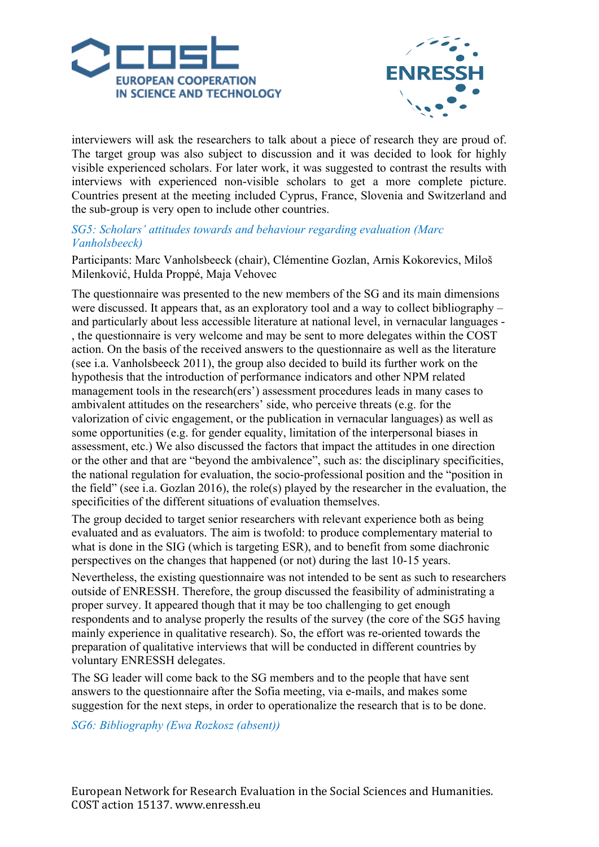

![](_page_5_Picture_1.jpeg)

interviewers will ask the researchers to talk about a piece of research they are proud of. The target group was also subject to discussion and it was decided to look for highly visible experienced scholars. For later work, it was suggested to contrast the results with interviews with experienced non-visible scholars to get a more complete picture. Countries present at the meeting included Cyprus, France, Slovenia and Switzerland and the sub-group is very open to include other countries.

### *SG5: Scholars' attitudes towards and behaviour regarding evaluation (Marc Vanholsbeeck)*

Participants: Marc Vanholsbeeck (chair), Clémentine Gozlan, Arnis Kokorevics, Miloš Milenković, Hulda Proppé, Maja Vehovec

The questionnaire was presented to the new members of the SG and its main dimensions were discussed. It appears that, as an exploratory tool and a way to collect bibliography – and particularly about less accessible literature at national level, in vernacular languages - , the questionnaire is very welcome and may be sent to more delegates within the COST action. On the basis of the received answers to the questionnaire as well as the literature (see i.a. Vanholsbeeck 2011), the group also decided to build its further work on the hypothesis that the introduction of performance indicators and other NPM related management tools in the research(ers') assessment procedures leads in many cases to ambivalent attitudes on the researchers' side, who perceive threats (e.g. for the valorization of civic engagement, or the publication in vernacular languages) as well as some opportunities (e.g. for gender equality, limitation of the interpersonal biases in assessment, etc.) We also discussed the factors that impact the attitudes in one direction or the other and that are "beyond the ambivalence", such as: the disciplinary specificities, the national regulation for evaluation, the socio-professional position and the "position in the field" (see i.a. Gozlan 2016), the role(s) played by the researcher in the evaluation, the specificities of the different situations of evaluation themselves.

The group decided to target senior researchers with relevant experience both as being evaluated and as evaluators. The aim is twofold: to produce complementary material to what is done in the SIG (which is targeting ESR), and to benefit from some diachronic perspectives on the changes that happened (or not) during the last 10-15 years.

Nevertheless, the existing questionnaire was not intended to be sent as such to researchers outside of ENRESSH. Therefore, the group discussed the feasibility of administrating a proper survey. It appeared though that it may be too challenging to get enough respondents and to analyse properly the results of the survey (the core of the SG5 having mainly experience in qualitative research). So, the effort was re-oriented towards the preparation of qualitative interviews that will be conducted in different countries by voluntary ENRESSH delegates.

The SG leader will come back to the SG members and to the people that have sent answers to the questionnaire after the Sofia meeting, via e-mails, and makes some suggestion for the next steps, in order to operationalize the research that is to be done.

*SG6: Bibliography (Ewa Rozkosz (absent))*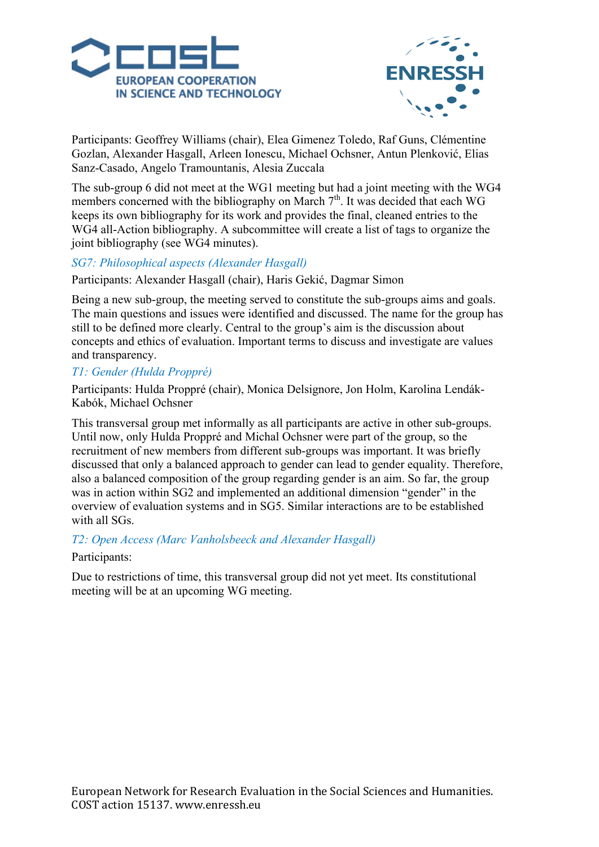![](_page_6_Picture_0.jpeg)

![](_page_6_Picture_1.jpeg)

Participants: Geoffrey Williams (chair), Elea Gimenez Toledo, Raf Guns, Clémentine Gozlan, Alexander Hasgall, Arleen Ionescu, Michael Ochsner, Antun Plenković, Elias Sanz-Casado, Angelo Tramountanis, Alesia Zuccala

The sub-group 6 did not meet at the WG1 meeting but had a joint meeting with the WG4 members concerned with the bibliography on March  $7<sup>th</sup>$ . It was decided that each WG keeps its own bibliography for its work and provides the final, cleaned entries to the WG4 all-Action bibliography. A subcommittee will create a list of tags to organize the joint bibliography (see WG4 minutes).

## *SG7: Philosophical aspects (Alexander Hasgall)*

Participants: Alexander Hasgall (chair), Haris Gekić, Dagmar Simon

Being a new sub-group, the meeting served to constitute the sub-groups aims and goals. The main questions and issues were identified and discussed. The name for the group has still to be defined more clearly. Central to the group's aim is the discussion about concepts and ethics of evaluation. Important terms to discuss and investigate are values and transparency.

## *T1: Gender (Hulda Proppré)*

Participants: Hulda Proppré (chair), Monica Delsignore, Jon Holm, Karolina Lendák-Kabók, Michael Ochsner

This transversal group met informally as all participants are active in other sub-groups. Until now, only Hulda Proppré and Michal Ochsner were part of the group, so the recruitment of new members from different sub-groups was important. It was briefly discussed that only a balanced approach to gender can lead to gender equality. Therefore, also a balanced composition of the group regarding gender is an aim. So far, the group was in action within SG2 and implemented an additional dimension "gender" in the overview of evaluation systems and in SG5. Similar interactions are to be established with all SGs.

*T2: Open Access (Marc Vanholsbeeck and Alexander Hasgall)*

## Participants:

Due to restrictions of time, this transversal group did not yet meet. Its constitutional meeting will be at an upcoming WG meeting.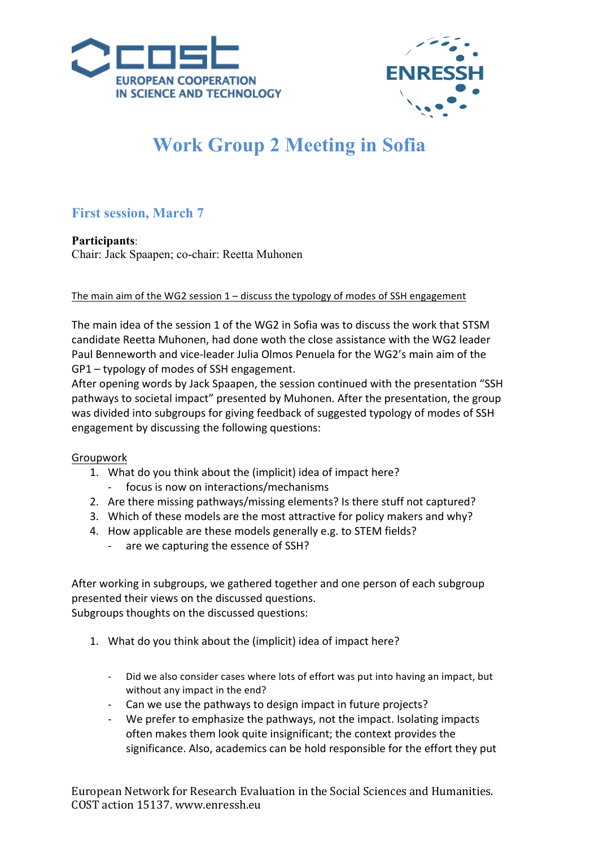![](_page_7_Picture_0.jpeg)

![](_page_7_Picture_1.jpeg)

# **Work Group 2 Meeting in Sofia**

# **First session, March 7**

**Participants**: Chair: Jack Spaapen; co-chair: Reetta Muhonen

The main aim of the WG2 session  $1$  – discuss the typology of modes of SSH engagement

The main idea of the session 1 of the WG2 in Sofia was to discuss the work that STSM candidate Reetta Muhonen, had done woth the close assistance with the WG2 leader Paul Benneworth and vice-leader Julia Olmos Penuela for the WG2's main aim of the  $GP1 - typology$  of modes of SSH engagement.

After opening words by Jack Spaapen, the session continued with the presentation "SSH pathways to societal impact" presented by Muhonen. After the presentation, the group was divided into subgroups for giving feedback of suggested typology of modes of SSH engagement by discussing the following questions:

## Groupwork

- 1. What do you think about the (implicit) idea of impact here?
	- focus is now on interactions/mechanisms
- 2. Are there missing pathways/missing elements? Is there stuff not captured?
- 3. Which of these models are the most attractive for policy makers and why?
- 4. How applicable are these models generally e.g. to STEM fields?
	- are we capturing the essence of SSH?

After working in subgroups, we gathered together and one person of each subgroup presented their views on the discussed questions. Subgroups thoughts on the discussed questions:

- 1. What do you think about the (implicit) idea of impact here?
	- Did we also consider cases where lots of effort was put into having an impact, but without any impact in the end?
	- Can we use the pathways to design impact in future projects?
	- We prefer to emphasize the pathways, not the impact. Isolating impacts often makes them look quite insignificant; the context provides the significance. Also, academics can be hold responsible for the effort they put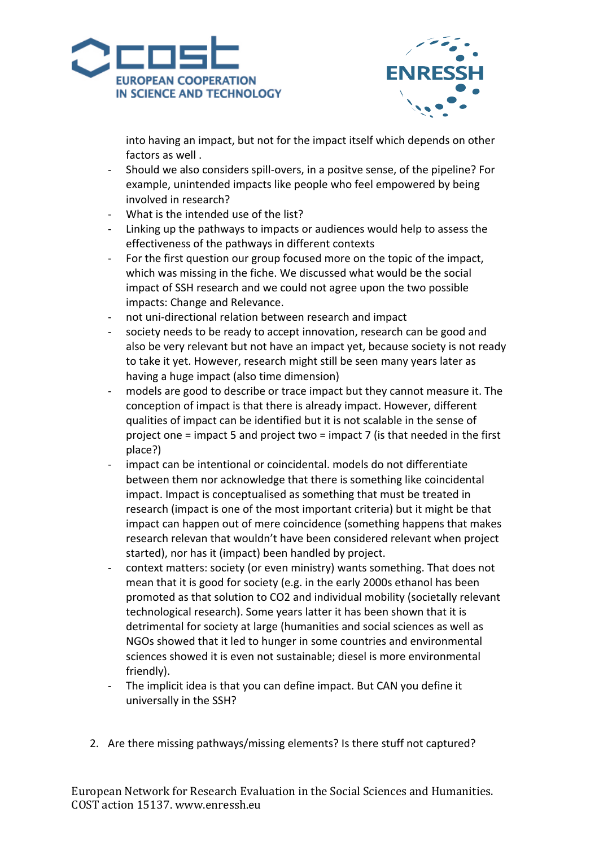![](_page_8_Picture_0.jpeg)

![](_page_8_Picture_1.jpeg)

into having an impact, but not for the impact itself which depends on other factors as well.

- Should we also considers spill-overs, in a positve sense, of the pipeline? For example, unintended impacts like people who feel empowered by being involved in research?
- What is the intended use of the list?
- Linking up the pathways to impacts or audiences would help to assess the effectiveness of the pathways in different contexts
- For the first question our group focused more on the topic of the impact, which was missing in the fiche. We discussed what would be the social impact of SSH research and we could not agree upon the two possible impacts: Change and Relevance.
- not uni-directional relation between research and impact
- society needs to be ready to accept innovation, research can be good and also be very relevant but not have an impact yet, because society is not ready to take it yet. However, research might still be seen many years later as having a huge impact (also time dimension)
- models are good to describe or trace impact but they cannot measure it. The conception of impact is that there is already impact. However, different qualities of impact can be identified but it is not scalable in the sense of project one = impact 5 and project two = impact 7 (is that needed in the first place?)
- impact can be intentional or coincidental. models do not differentiate between them nor acknowledge that there is something like coincidental impact. Impact is conceptualised as something that must be treated in research (impact is one of the most important criteria) but it might be that impact can happen out of mere coincidence (something happens that makes research relevan that wouldn't have been considered relevant when project started), nor has it (impact) been handled by project.
- context matters: society (or even ministry) wants something. That does not mean that it is good for society (e.g. in the early 2000s ethanol has been promoted as that solution to CO2 and individual mobility (societally relevant technological research). Some years latter it has been shown that it is detrimental for society at large (humanities and social sciences as well as NGOs showed that it led to hunger in some countries and environmental sciences showed it is even not sustainable; diesel is more environmental friendly).
- The implicit idea is that you can define impact. But CAN you define it universally in the SSH?
- 2. Are there missing pathways/missing elements? Is there stuff not captured?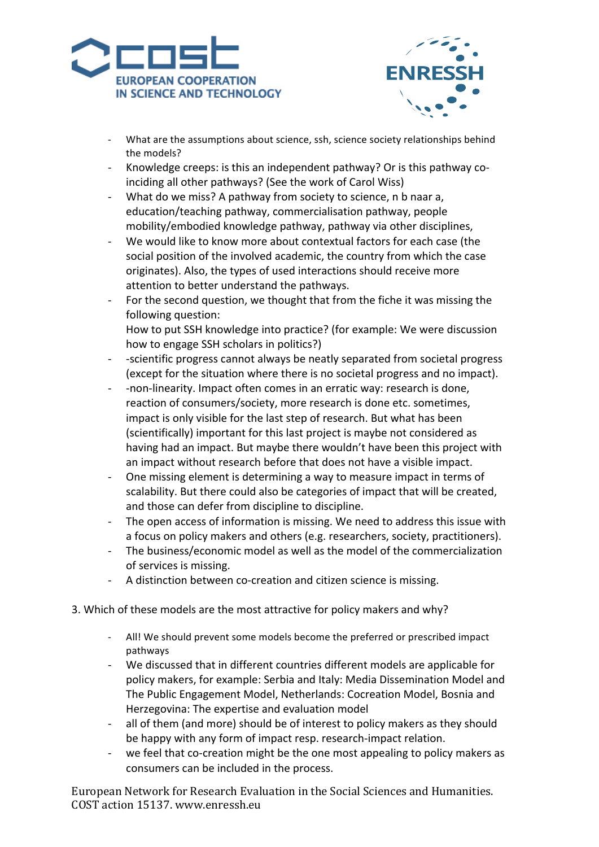![](_page_9_Picture_0.jpeg)

![](_page_9_Picture_1.jpeg)

- What are the assumptions about science, ssh, science society relationships behind the models?
- Knowledge creeps: is this an independent pathway? Or is this pathway coinciding all other pathways? (See the work of Carol Wiss)
- What do we miss? A pathway from society to science, n b naar a, education/teaching pathway, commercialisation pathway, people mobility/embodied knowledge pathway, pathway via other disciplines,
- We would like to know more about contextual factors for each case (the social position of the involved academic, the country from which the case originates). Also, the types of used interactions should receive more attention to better understand the pathways.
- For the second question, we thought that from the fiche it was missing the following question:
	- How to put SSH knowledge into practice? (for example: We were discussion how to engage SSH scholars in politics?)
- -scientific progress cannot always be neatly separated from societal progress (except for the situation where there is no societal progress and no impact).
- - non-linearity. Impact often comes in an erratic way: research is done, reaction of consumers/society, more research is done etc. sometimes, impact is only visible for the last step of research. But what has been (scientifically) important for this last project is maybe not considered as having had an impact. But maybe there wouldn't have been this project with an impact without research before that does not have a visible impact.
- One missing element is determining a way to measure impact in terms of scalability. But there could also be categories of impact that will be created, and those can defer from discipline to discipline.
- The open access of information is missing. We need to address this issue with a focus on policy makers and others (e.g. researchers, society, practitioners).
- The business/economic model as well as the model of the commercialization of services is missing.
- A distinction between co-creation and citizen science is missing.
- 3. Which of these models are the most attractive for policy makers and why?
	- All! We should prevent some models become the preferred or prescribed impact pathways
	- We discussed that in different countries different models are applicable for policy makers, for example: Serbia and Italy: Media Dissemination Model and The Public Engagement Model, Netherlands: Cocreation Model, Bosnia and Herzegovina: The expertise and evaluation model
	- all of them (and more) should be of interest to policy makers as they should be happy with any form of impact resp. research-impact relation.
	- we feel that co-creation might be the one most appealing to policy makers as consumers can be included in the process.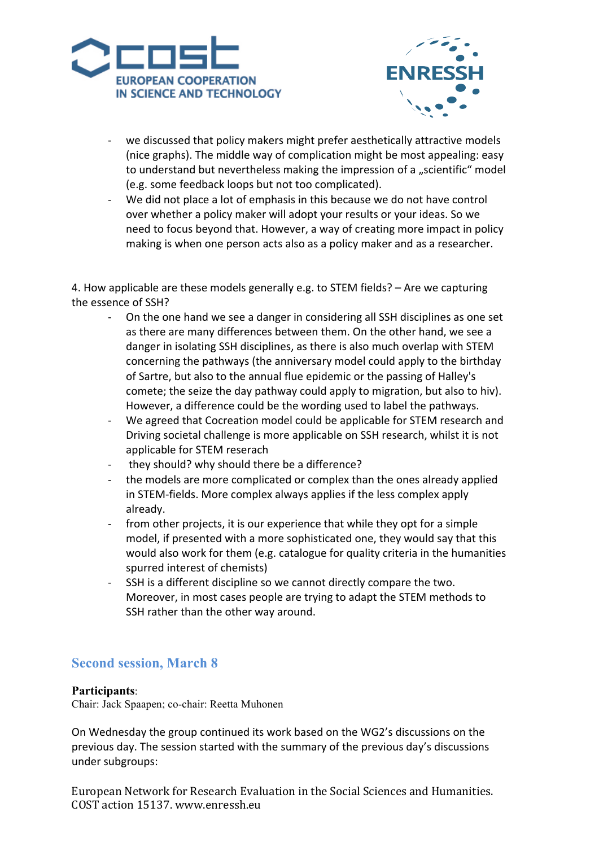![](_page_10_Picture_0.jpeg)

![](_page_10_Picture_1.jpeg)

- we discussed that policy makers might prefer aesthetically attractive models (nice graphs). The middle way of complication might be most appealing: easy to understand but nevertheless making the impression of a "scientific" model (e.g. some feedback loops but not too complicated).
- We did not place a lot of emphasis in this because we do not have control over whether a policy maker will adopt your results or your ideas. So we need to focus beyond that. However, a way of creating more impact in policy making is when one person acts also as a policy maker and as a researcher.

4. How applicable are these models generally e.g. to STEM fields?  $-$  Are we capturing the essence of SSH?

- On the one hand we see a danger in considering all SSH disciplines as one set as there are many differences between them. On the other hand, we see a danger in isolating SSH disciplines, as there is also much overlap with STEM concerning the pathways (the anniversary model could apply to the birthday of Sartre, but also to the annual flue epidemic or the passing of Halley's comete; the seize the day pathway could apply to migration, but also to hiv). However, a difference could be the wording used to label the pathways.
- We agreed that Cocreation model could be applicable for STEM research and Driving societal challenge is more applicable on SSH research, whilst it is not applicable for STEM reserach
- they should? why should there be a difference?
- the models are more complicated or complex than the ones already applied in STEM-fields. More complex always applies if the less complex apply already.
- from other projects, it is our experience that while they opt for a simple model, if presented with a more sophisticated one, they would say that this would also work for them (e.g. catalogue for quality criteria in the humanities spurred interest of chemists)
- SSH is a different discipline so we cannot directly compare the two. Moreover, in most cases people are trying to adapt the STEM methods to SSH rather than the other way around.

# **Second session, March 8**

#### **Participants**:

Chair: Jack Spaapen; co-chair: Reetta Muhonen

On Wednesday the group continued its work based on the WG2's discussions on the previous day. The session started with the summary of the previous day's discussions under subgroups: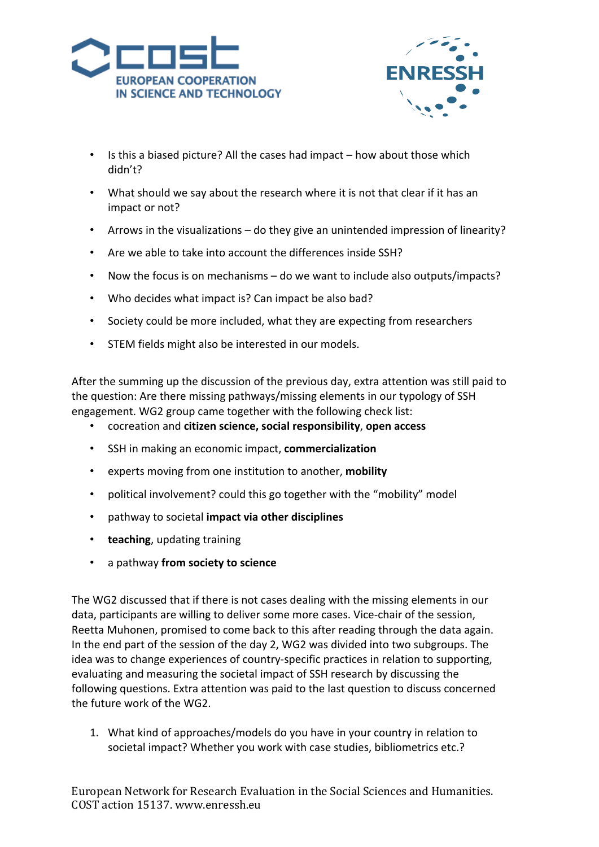![](_page_11_Picture_0.jpeg)

![](_page_11_Picture_1.jpeg)

- Is this a biased picture? All the cases had impact how about those which didn't?
- What should we say about the research where it is not that clear if it has an impact or not?
- Arrows in the visualizations do they give an unintended impression of linearity?
- Are we able to take into account the differences inside SSH?
- Now the focus is on mechanisms do we want to include also outputs/impacts?
- Who decides what impact is? Can impact be also bad?
- Society could be more included, what they are expecting from researchers
- STEM fields might also be interested in our models.

After the summing up the discussion of the previous day, extra attention was still paid to the question: Are there missing pathways/missing elements in our typology of SSH engagement. WG2 group came together with the following check list:

- cocreation and **citizen science, social responsibility**, **open access**
- SSH in making an economic impact, **commercialization**
- experts moving from one institution to another, **mobility**
- political involvement? could this go together with the "mobility" model
- pathway to societal impact via other disciplines
- **teaching**, updating training
- a pathway **from society to science**

The WG2 discussed that if there is not cases dealing with the missing elements in our data, participants are willing to deliver some more cases. Vice-chair of the session, Reetta Muhonen, promised to come back to this after reading through the data again. In the end part of the session of the day 2, WG2 was divided into two subgroups. The idea was to change experiences of country-specific practices in relation to supporting, evaluating and measuring the societal impact of SSH research by discussing the following questions. Extra attention was paid to the last question to discuss concerned the future work of the WG2.

1. What kind of approaches/models do you have in your country in relation to societal impact? Whether you work with case studies, bibliometrics etc.?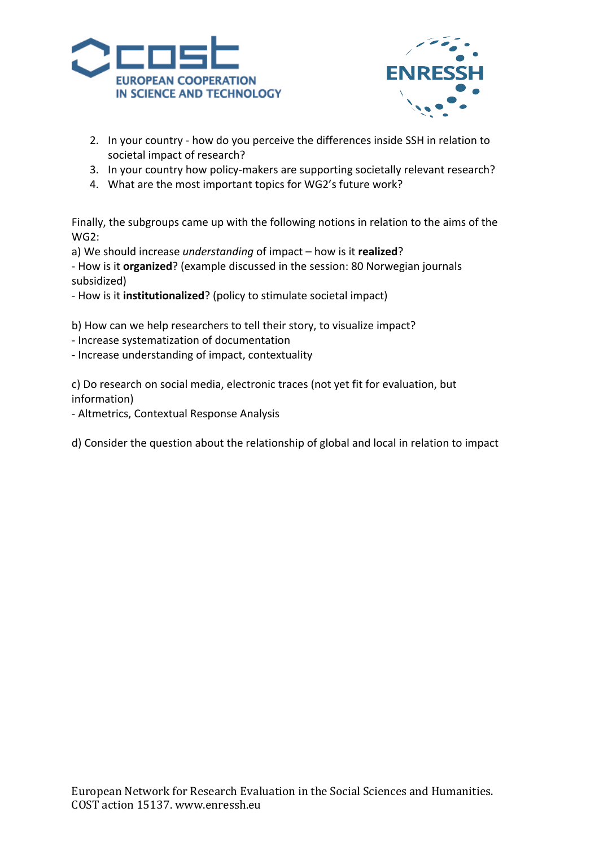![](_page_12_Picture_0.jpeg)

![](_page_12_Picture_1.jpeg)

- 2. In your country how do you perceive the differences inside SSH in relation to societal impact of research?
- 3. In your country how policy-makers are supporting societally relevant research?
- 4. What are the most important topics for WG2's future work?

Finally, the subgroups came up with the following notions in relation to the aims of the WG2:

a) We should increase *understanding* of impact – how is it realized?

- How is it **organized**? (example discussed in the session: 80 Norwegian journals subsidized)

- How is it **institutionalized**? (policy to stimulate societal impact)

b) How can we help researchers to tell their story, to visualize impact?

- Increase systematization of documentation
- Increase understanding of impact, contextuality

c) Do research on social media, electronic traces (not yet fit for evaluation, but information)

- Altmetrics, Contextual Response Analysis

d) Consider the question about the relationship of global and local in relation to impact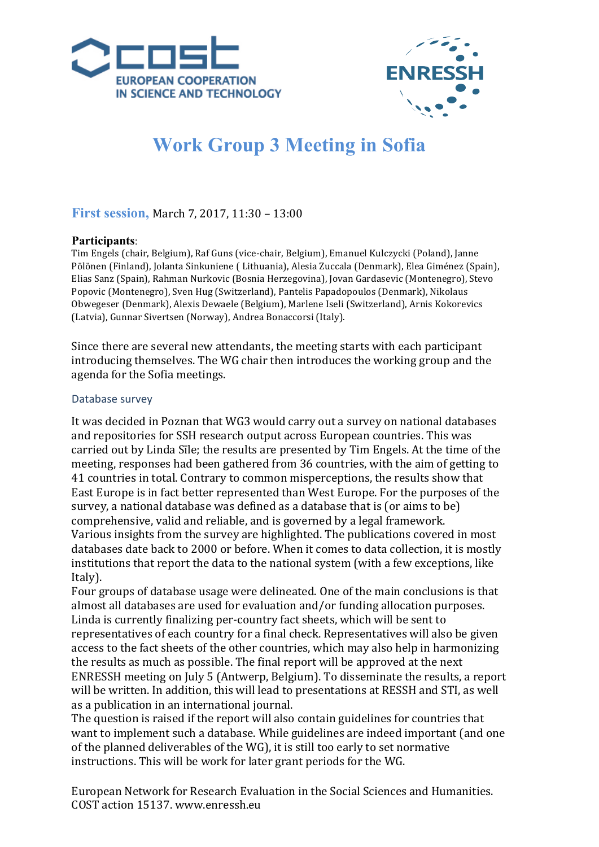![](_page_13_Picture_0.jpeg)

![](_page_13_Picture_1.jpeg)

# **Work Group 3 Meeting in Sofia**

# **First session, March 7, 2017, 11:30 - 13:00**

## **Participants**:

Tim Engels (chair, Belgium), Raf Guns (vice-chair, Belgium), Emanuel Kulczycki (Poland), Janne Pölönen (Finland), Jolanta Sinkuniene ( Lithuania), Alesia Zuccala (Denmark), Elea Giménez (Spain), Elias Sanz (Spain), Rahman Nurkovic (Bosnia Herzegovina), Jovan Gardasevic (Montenegro), Stevo Popovic (Montenegro), Sven Hug (Switzerland), Pantelis Papadopoulos (Denmark), Nikolaus Obwegeser (Denmark), Alexis Dewaele (Belgium), Marlene Iseli (Switzerland), Arnis Kokorevics (Latvia), Gunnar Sivertsen (Norway), Andrea Bonaccorsi (Italy).

Since there are several new attendants, the meeting starts with each participant introducing themselves. The WG chair then introduces the working group and the agenda for the Sofia meetings.

#### Database survey

It was decided in Poznan that WG3 would carry out a survey on national databases and repositories for SSH research output across European countries. This was carried out by Linda Sile; the results are presented by Tim Engels. At the time of the meeting, responses had been gathered from 36 countries, with the aim of getting to 41 countries in total. Contrary to common misperceptions, the results show that East Europe is in fact better represented than West Europe. For the purposes of the survey, a national database was defined as a database that is (or aims to be) comprehensive, valid and reliable, and is governed by a legal framework. Various insights from the survey are highlighted. The publications covered in most databases date back to 2000 or before. When it comes to data collection, it is mostly institutions that report the data to the national system (with a few exceptions, like Italy).

Four groups of database usage were delineated. One of the main conclusions is that almost all databases are used for evaluation and/or funding allocation purposes. Linda is currently finalizing per-country fact sheets, which will be sent to representatives of each country for a final check. Representatives will also be given access to the fact sheets of the other countries, which may also help in harmonizing the results as much as possible. The final report will be approved at the next ENRESSH meeting on July 5 (Antwerp, Belgium). To disseminate the results, a report will be written. In addition, this will lead to presentations at RESSH and STI, as well as a publication in an international journal.

The question is raised if the report will also contain guidelines for countries that want to implement such a database. While guidelines are indeed important (and one of the planned deliverables of the WG), it is still too early to set normative instructions. This will be work for later grant periods for the WG.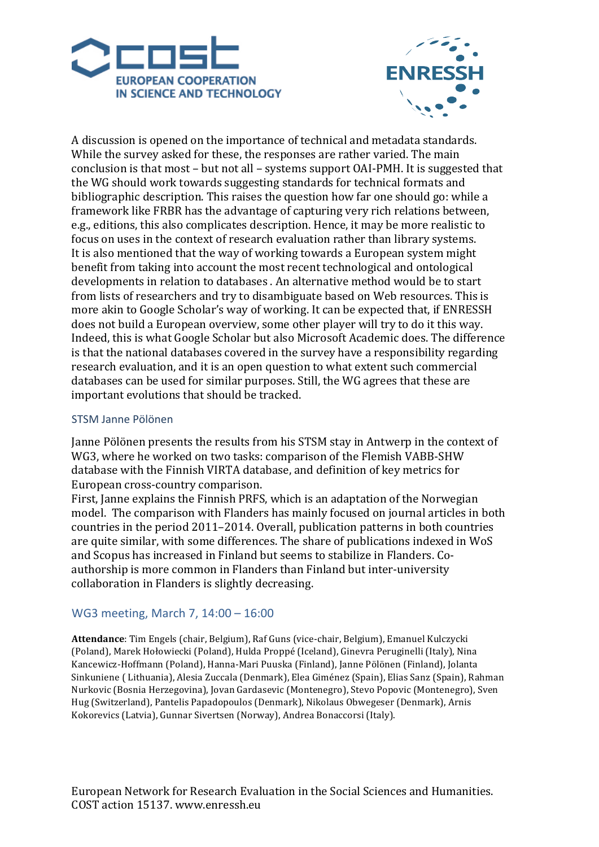![](_page_14_Picture_0.jpeg)

![](_page_14_Picture_1.jpeg)

A discussion is opened on the importance of technical and metadata standards. While the survey asked for these, the responses are rather varied. The main conclusion is that most – but not all – systems support  $OAI-PMH$ . It is suggested that the WG should work towards suggesting standards for technical formats and bibliographic description. This raises the question how far one should go: while a framework like FRBR has the advantage of capturing very rich relations between, e.g., editions, this also complicates description. Hence, it may be more realistic to focus on uses in the context of research evaluation rather than library systems. It is also mentioned that the way of working towards a European system might benefit from taking into account the most recent technological and ontological developments in relation to databases . An alternative method would be to start from lists of researchers and try to disambiguate based on Web resources. This is more akin to Google Scholar's way of working. It can be expected that, if ENRESSH does not build a European overview, some other player will try to do it this way. Indeed, this is what Google Scholar but also Microsoft Academic does. The difference is that the national databases covered in the survey have a responsibility regarding research evaluation, and it is an open question to what extent such commercial databases can be used for similar purposes. Still, the WG agrees that these are important evolutions that should be tracked.

## STSM Janne Pölönen

Janne Pölönen presents the results from his STSM stay in Antwerp in the context of WG3, where he worked on two tasks: comparison of the Flemish VABB-SHW database with the Finnish VIRTA database, and definition of key metrics for European cross-country comparison.

First, Janne explains the Finnish PRFS, which is an adaptation of the Norwegian model. The comparison with Flanders has mainly focused on journal articles in both countries in the period  $2011-2014$ . Overall, publication patterns in both countries are quite similar, with some differences. The share of publications indexed in WoS and Scopus has increased in Finland but seems to stabilize in Flanders. Coauthorship is more common in Flanders than Finland but inter-university collaboration in Flanders is slightly decreasing.

## WG3 meeting, March 7, 14:00 - 16:00

Attendance: Tim Engels (chair, Belgium), Raf Guns (vice-chair, Belgium), Emanuel Kulczycki (Poland), Marek Hołowiecki (Poland), Hulda Proppé (Iceland), Ginevra Peruginelli (Italy), Nina Kancewicz-Hoffmann (Poland), Hanna-Mari Puuska (Finland), Janne Pölönen (Finland), Jolanta Sinkuniene ( Lithuania), Alesia Zuccala (Denmark), Elea Giménez (Spain), Elias Sanz (Spain), Rahman Nurkovic (Bosnia Herzegovina), Jovan Gardasevic (Montenegro), Stevo Popovic (Montenegro), Sven Hug (Switzerland), Pantelis Papadopoulos (Denmark), Nikolaus Obwegeser (Denmark), Arnis Kokorevics (Latvia), Gunnar Sivertsen (Norway), Andrea Bonaccorsi (Italy).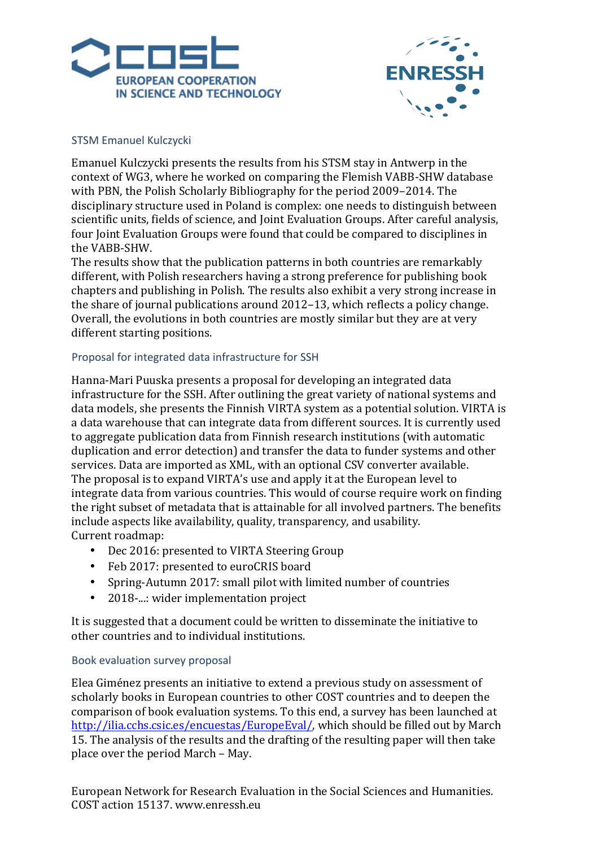![](_page_15_Picture_0.jpeg)

![](_page_15_Picture_1.jpeg)

## STSM Emanuel Kulczycki

Emanuel Kulczycki presents the results from his STSM stay in Antwerp in the context of WG3, where he worked on comparing the Flemish VABB-SHW database with PBN, the Polish Scholarly Bibliography for the period 2009–2014. The disciplinary structure used in Poland is complex: one needs to distinguish between scientific units, fields of science, and Joint Evaluation Groups. After careful analysis, four Joint Evaluation Groups were found that could be compared to disciplines in the VABB-SHW.

The results show that the publication patterns in both countries are remarkably different, with Polish researchers having a strong preference for publishing book chapters and publishing in Polish. The results also exhibit a very strong increase in the share of journal publications around  $2012-13$ , which reflects a policy change. Overall, the evolutions in both countries are mostly similar but they are at very different starting positions.

## Proposal for integrated data infrastructure for SSH

Hanna-Mari Puuska presents a proposal for developing an integrated data infrastructure for the SSH. After outlining the great variety of national systems and data models, she presents the Finnish VIRTA system as a potential solution. VIRTA is a data warehouse that can integrate data from different sources. It is currently used to aggregate publication data from Finnish research institutions (with automatic duplication and error detection) and transfer the data to funder systems and other services. Data are imported as XML, with an optional CSV converter available. The proposal is to expand VIRTA's use and apply it at the European level to integrate data from various countries. This would of course require work on finding the right subset of metadata that is attainable for all involved partners. The benefits include aspects like availability, quality, transparency, and usability. Current roadmap:

- Dec 2016: presented to VIRTA Steering Group
- Feb 2017: presented to euroCRIS board
- Spring-Autumn 2017: small pilot with limited number of countries
- 2018-...: wider implementation project

It is suggested that a document could be written to disseminate the initiative to other countries and to individual institutions.

## Book evaluation survey proposal

Elea Giménez presents an initiative to extend a previous study on assessment of scholarly books in European countries to other COST countries and to deepen the comparison of book evaluation systems. To this end, a survey has been launched at http://ilia.cchs.csic.es/encuestas/EuropeEval/, which should be filled out by March 15. The analysis of the results and the drafting of the resulting paper will then take place over the period March – May.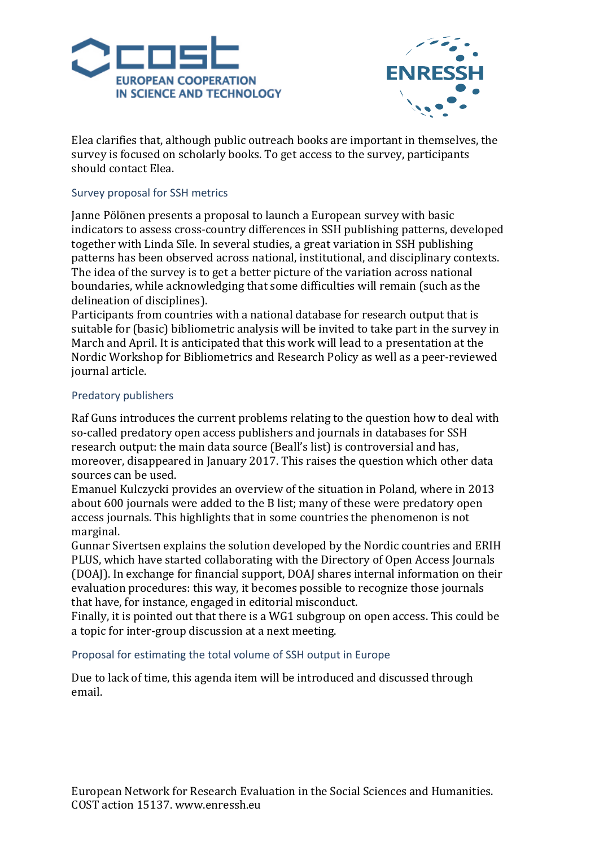![](_page_16_Picture_0.jpeg)

![](_page_16_Picture_1.jpeg)

Elea clarifies that, although public outreach books are important in themselves, the survey is focused on scholarly books. To get access to the survey, participants should contact Elea.

## Survey proposal for SSH metrics

Janne Pölönen presents a proposal to launch a European survey with basic indicators to assess cross-country differences in SSH publishing patterns, developed together with Linda Sīle. In several studies, a great variation in SSH publishing patterns has been observed across national, institutional, and disciplinary contexts. The idea of the survey is to get a better picture of the variation across national boundaries, while acknowledging that some difficulties will remain (such as the delineation of disciplines).

Participants from countries with a national database for research output that is suitable for (basic) bibliometric analysis will be invited to take part in the survey in March and April. It is anticipated that this work will lead to a presentation at the Nordic Workshop for Bibliometrics and Research Policy as well as a peer-reviewed iournal article.

## Predatory publishers

Raf Guns introduces the current problems relating to the question how to deal with so-called predatory open access publishers and journals in databases for SSH research output: the main data source (Beall's list) is controversial and has, moreover, disappeared in January 2017. This raises the question which other data sources can be used.

Emanuel Kulczycki provides an overview of the situation in Poland, where in 2013 about 600 journals were added to the B list; many of these were predatory open access journals. This highlights that in some countries the phenomenon is not marginal.

Gunnar Sivertsen explains the solution developed by the Nordic countries and ERIH PLUS, which have started collaborating with the Directory of Open Access Journals (DOAJ). In exchange for financial support, DOAJ shares internal information on their evaluation procedures: this way, it becomes possible to recognize those journals that have, for instance, engaged in editorial misconduct.

Finally, it is pointed out that there is a  $WG1$  subgroup on open access. This could be a topic for inter-group discussion at a next meeting.

## Proposal for estimating the total volume of SSH output in Europe

Due to lack of time, this agenda item will be introduced and discussed through email.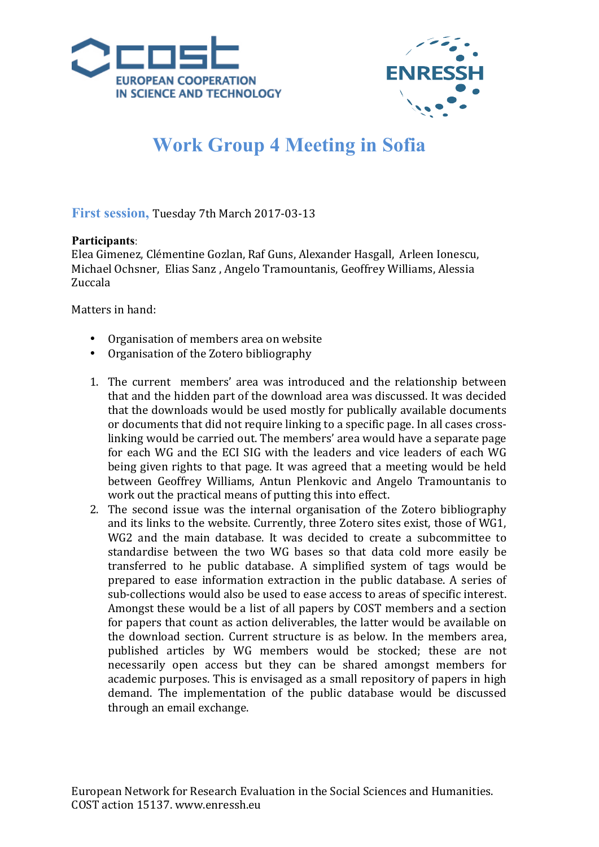![](_page_17_Picture_0.jpeg)

![](_page_17_Picture_1.jpeg)

# **Work Group 4 Meeting in Sofia**

## **First session, Tuesday 7th March 2017-03-13**

## **Participants**:

Elea Gimenez, Clémentine Gozlan, Raf Guns, Alexander Hasgall, Arleen Ionescu, Michael Ochsner, Elias Sanz, Angelo Tramountanis, Geoffrey Williams, Alessia Zuccala 

Matters in hand:

- Organisation of members area on website
- Organisation of the Zotero bibliography
- 1. The current members' area was introduced and the relationship between that and the hidden part of the download area was discussed. It was decided that the downloads would be used mostly for publically available documents or documents that did not require linking to a specific page. In all cases crosslinking would be carried out. The members' area would have a separate page for each WG and the ECI SIG with the leaders and vice leaders of each WG being given rights to that page. It was agreed that a meeting would be held between Geoffrey Williams, Antun Plenkovic and Angelo Tramountanis to work out the practical means of putting this into effect.
- 2. The second issue was the internal organisation of the Zotero bibliography and its links to the website. Currently, three Zotero sites exist, those of WG1, WG2 and the main database. It was decided to create a subcommittee to standardise between the two WG bases so that data cold more easily be transferred to he public database. A simplified system of tags would be prepared to ease information extraction in the public database. A series of sub-collections would also be used to ease access to areas of specific interest. Amongst these would be a list of all papers by COST members and a section for papers that count as action deliverables, the latter would be available on the download section. Current structure is as below. In the members area, published articles by WG members would be stocked; these are not necessarily open access but they can be shared amongst members for academic purposes. This is envisaged as a small repository of papers in high demand. The implementation of the public database would be discussed through an email exchange.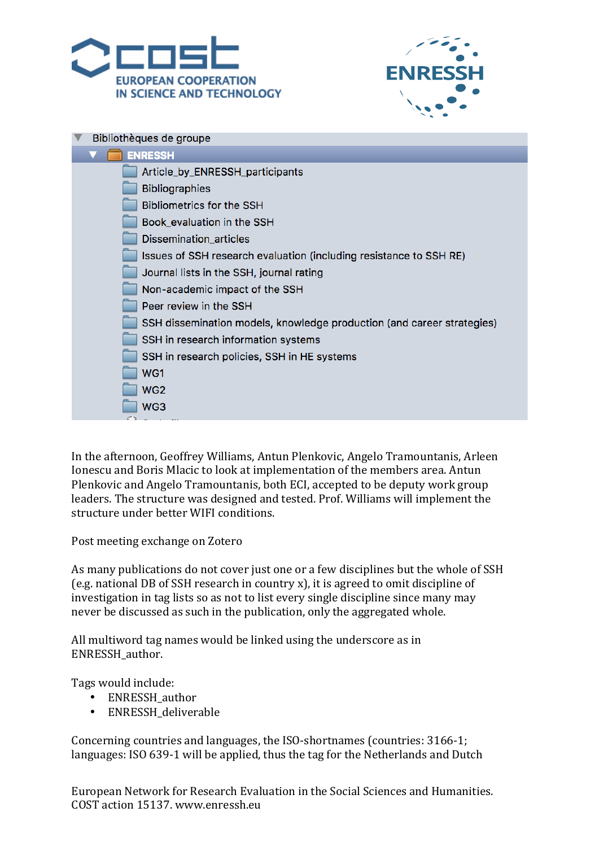![](_page_18_Picture_0.jpeg)

![](_page_18_Picture_1.jpeg)

| Bibliothèques de groupe                                                |  |  |  |  |
|------------------------------------------------------------------------|--|--|--|--|
| <b>ENRESSH</b>                                                         |  |  |  |  |
| Article_by_ENRESSH_participants                                        |  |  |  |  |
| <b>Bibliographies</b>                                                  |  |  |  |  |
| <b>Bibliometrics for the SSH</b>                                       |  |  |  |  |
| Book_evaluation in the SSH                                             |  |  |  |  |
| Dissemination_articles                                                 |  |  |  |  |
| Issues of SSH research evaluation (including resistance to SSH RE)     |  |  |  |  |
| Journal lists in the SSH, journal rating                               |  |  |  |  |
| Non-academic impact of the SSH                                         |  |  |  |  |
| Peer review in the SSH                                                 |  |  |  |  |
| SSH dissemination models, knowledge production (and career strategies) |  |  |  |  |
| SSH in research information systems                                    |  |  |  |  |
| SSH in research policies, SSH in HE systems                            |  |  |  |  |
| WG1                                                                    |  |  |  |  |
| WG <sub>2</sub>                                                        |  |  |  |  |
| WG3                                                                    |  |  |  |  |
|                                                                        |  |  |  |  |

In the afternoon, Geoffrey Williams, Antun Plenkovic, Angelo Tramountanis, Arleen Ionescu and Boris Mlacic to look at implementation of the members area. Antun Plenkovic and Angelo Tramountanis, both ECI, accepted to be deputy work group leaders. The structure was designed and tested. Prof. Williams will implement the structure under better WIFI conditions.

Post meeting exchange on Zotero

As many publications do not cover just one or a few disciplines but the whole of SSH (e.g. national DB of SSH research in country x), it is agreed to omit discipline of investigation in tag lists so as not to list every single discipline since many may never be discussed as such in the publication, only the aggregated whole.

All multiword tag names would be linked using the underscore as in ENRESSH\_author.

Tags would include:

- ENRESSH author
- ENRESSH deliverable

Concerning countries and languages, the ISO-shortnames (countries: 3166-1; languages: ISO 639-1 will be applied, thus the tag for the Netherlands and Dutch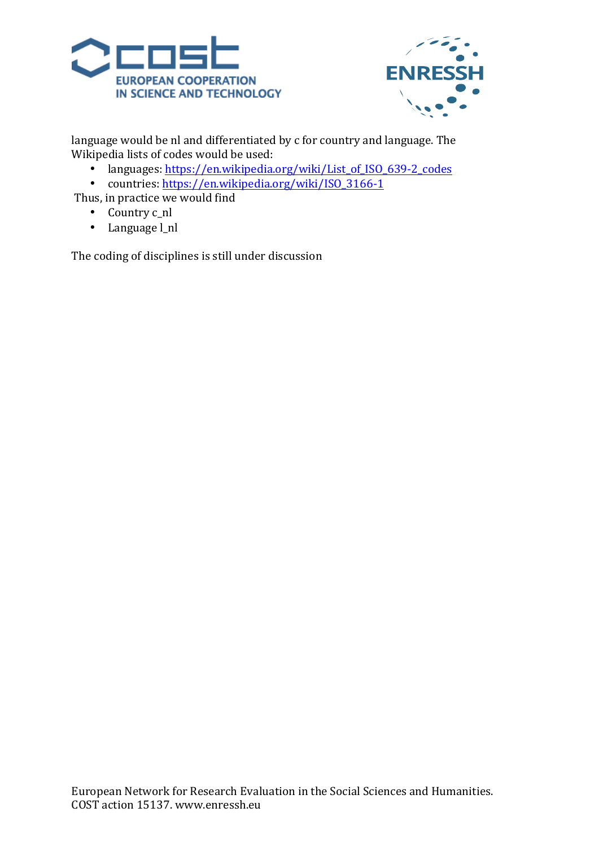![](_page_19_Picture_0.jpeg)

![](_page_19_Picture_1.jpeg)

language would be nl and differentiated by c for country and language. The Wikipedia lists of codes would be used:

- languages: https://en.wikipedia.org/wiki/List\_of\_ISO\_639-2\_codes
- countries: https://en.wikipedia.org/wiki/ISO\_3166-1

Thus, in practice we would find

- Country c\_nl
- Language l\_nl

The coding of disciplines is still under discussion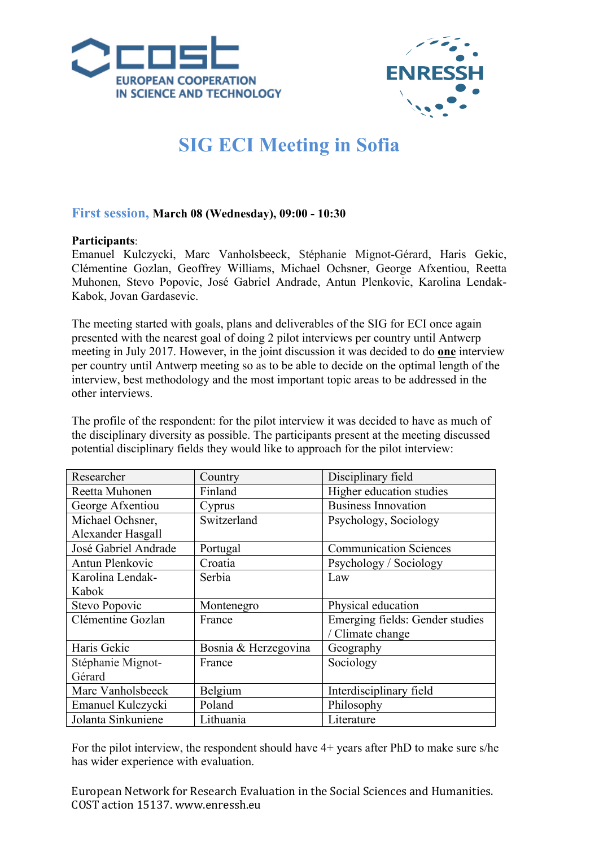![](_page_20_Picture_0.jpeg)

![](_page_20_Picture_1.jpeg)

# **SIG ECI Meeting in Sofia**

## **First session, March 08 (Wednesday), 09:00 - 10:30**

## **Participants**:

Emanuel Kulczycki, Marc Vanholsbeeck, Stéphanie Mignot-Gérard, Haris Gekic, Clémentine Gozlan, Geoffrey Williams, Michael Ochsner, George Afxentiou, Reetta Muhonen, Stevo Popovic, José Gabriel Andrade, Antun Plenkovic, Karolina Lendak-Kabok, Jovan Gardasevic.

The meeting started with goals, plans and deliverables of the SIG for ECI once again presented with the nearest goal of doing 2 pilot interviews per country until Antwerp meeting in July 2017. However, in the joint discussion it was decided to do **one** interview per country until Antwerp meeting so as to be able to decide on the optimal length of the interview, best methodology and the most important topic areas to be addressed in the other interviews.

The profile of the respondent: for the pilot interview it was decided to have as much of the disciplinary diversity as possible. The participants present at the meeting discussed potential disciplinary fields they would like to approach for the pilot interview:

| Researcher           | Country              | Disciplinary field              |
|----------------------|----------------------|---------------------------------|
| Reetta Muhonen       | Finland              | Higher education studies        |
| George Afxentiou     | Cyprus               | <b>Business Innovation</b>      |
| Michael Ochsner,     | Switzerland          | Psychology, Sociology           |
| Alexander Hasgall    |                      |                                 |
| José Gabriel Andrade | Portugal             | <b>Communication Sciences</b>   |
| Antun Plenkovic      | Croatia              | Psychology / Sociology          |
| Karolina Lendak-     | Serbia               | Law                             |
| Kabok                |                      |                                 |
| Stevo Popovic        | Montenegro           | Physical education              |
| Clémentine Gozlan    | France               | Emerging fields: Gender studies |
|                      |                      | / Climate change                |
| Haris Gekic          | Bosnia & Herzegovina | Geography                       |
| Stéphanie Mignot-    | France               | Sociology                       |
| Gérard               |                      |                                 |
| Marc Vanholsbeeck    | Belgium              | Interdisciplinary field         |
| Emanuel Kulczycki    | Poland               | Philosophy                      |
| Jolanta Sinkuniene   | Lithuania            | Literature                      |

For the pilot interview, the respondent should have 4+ years after PhD to make sure s/he has wider experience with evaluation.